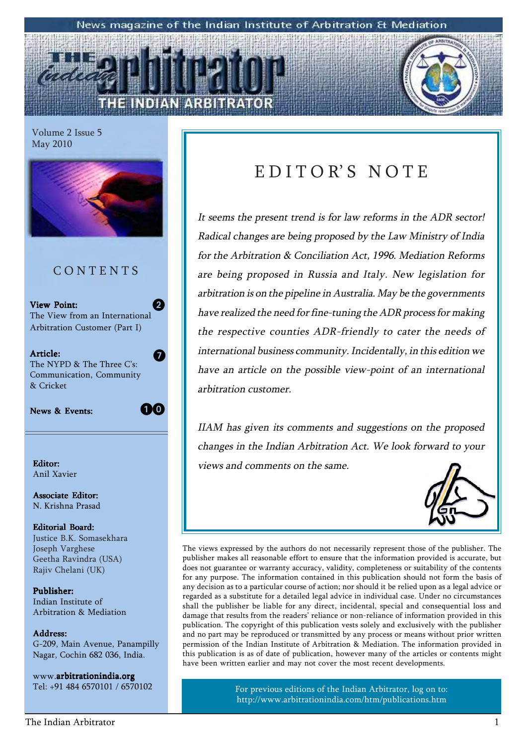#### News magazine of the Indian Institute of Arbitration & Mediation

Volume 2 Issue 5 May 2010



# **CONTENTS**

View Point: The View from an International Arbitration Customer (Part I)  $\bm{\Theta}$ 

Article: The NYPD & The Three C's: Communication, Community & Cricket

News & Events:

10

7

Anil Xavier

Associate Editor: N. Krishna Prasad

Editorial Board: Justice B.K. Somasekhara Joseph Varghese Geetha Ravindra (USA) Rajiv Chelani (UK)

Publisher: Indian Institute of Arbitration & Mediation

Address: Address: G-209, Main Avenue, Panampilly Nagar, Cochin 682 036, India.

www.arbitrationindia.org Tel: +91 484 6570101 / 6570102

# EDITOR'S NOTE

It seems the present trend is for law reforms in the ADR sector! Radical changes are being proposed by the Law Ministry of India for the Arbitration & Conciliation Act, 1996. Mediation Reforms are being proposed in Russia and Italy. New legislation for arbitration is on the pipeline in Australia. May be the governments have realized the need for fine-tuning the ADR process for making the respective counties ADR-friendly to cater the needs of international business community. Incidentally, in this edition we have an article on the possible view-point of an international arbitration customer.

IIAM has given its comments and suggestions on the proposed changes in the Indian Arbitration Act. We look forward to your Editor: views and comments on the same.



The views expressed by the authors do not necessarily represent those of the publisher. The publisher makes all reasonable effort to ensure that the information provided is accurate, but does not guarantee or warranty accuracy, validity, completeness or suitability of the contents for any purpose. The information contained in this publication should not form the basis of any decision as to a particular course of action; nor should it be relied upon as a legal advice or regarded as a substitute for a detailed legal advice in individual case. Under no circumstances shall the publisher be liable for any direct, incidental, special and consequential loss and damage that results from the readers' reliance or non-reliance of information provided in this publication. The copyright of this publication vests solely and exclusively with the publisher and no part may be reproduced or transmitted by any process or means without prior written permission of the Indian Institute of Arbitration & Mediation. The information provided in this publication is as of date of publication, however many of the articles or contents might have been written earlier and may not cover the most recent developments.

> For previous editions of the Indian Arbitrator, log on to: http://www.arbitrationindia.com/htm/publications.htm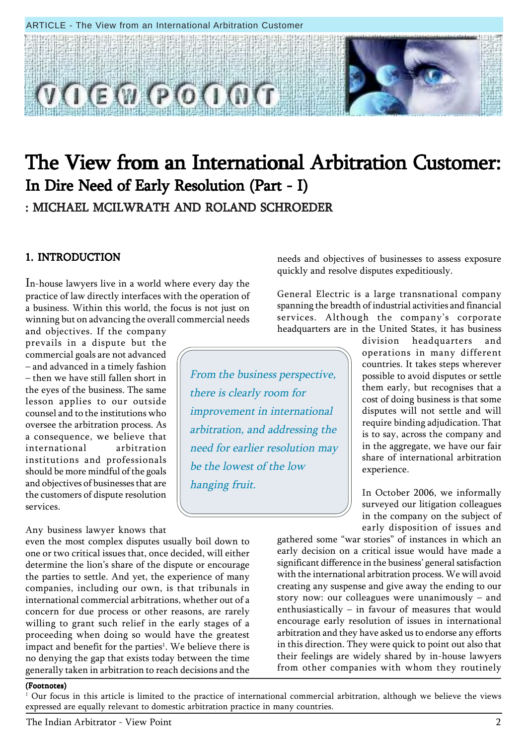#### ARTICLE - The View from an International Arbitration Customer



# The View from an International Arbitration Customer: In Dire Need of Early Resolution (Part - I) : MICHAEL MCILWRATH AND ROLAND SCHROEDER

# 1. INTRODUCTION

In-house lawyers live in a world where every day the practice of law directly interfaces with the operation of a business. Within this world, the focus is not just on winning but on advancing the overall commercial needs

and objectives. If the company prevails in a dispute but the commercial goals are not advanced – and advanced in a timely fashion  $-$  then we have still fallen short in the eyes of the business. The same lesson applies to our outside counsel and to the institutions who oversee the arbitration process. As a consequence, we believe that international arbitration institutions and professionals should be more mindful of the goals and objectives of businesses that are the customers of dispute resolution services.

#### Any business lawyer knows that

even the most complex disputes usually boil down to one or two critical issues that, once decided, will either determine the lion's share of the dispute or encourage the parties to settle. And yet, the experience of many companies, including our own, is that tribunals in international commercial arbitrations, whether out of a concern for due process or other reasons, are rarely willing to grant such relief in the early stages of a proceeding when doing so would have the greatest impact and benefit for the parties<sup>1</sup>. We believe there is no denying the gap that exists today between the time generally taken in arbitration to reach decisions and the

needs and objectives of businesses to assess exposure quickly and resolve disputes expeditiously.

General Electric is a large transnational company spanning the breadth of industrial activities and financial services. Although the company's corporate headquarters are in the United States, it has business

From the business perspective, there is clearly room for improvement in international arbitration, and addressing the need for earlier resolution may be the lowest of the low hanging fruit.

division headquarters and operations in many different countries. It takes steps wherever possible to avoid disputes or settle them early, but recognises that a cost of doing business is that some disputes will not settle and will require binding adjudication. That is to say, across the company and in the aggregate, we have our fair share of international arbitration experience.

In October 2006, we informally surveyed our litigation colleagues in the company on the subject of early disposition of issues and

gathered some "war stories" of instances in which an early decision on a critical issue would have made a significant difference in the business' general satisfaction with the international arbitration process. We will avoid creating any suspense and give away the ending to our story now: our colleagues were unanimously  $-$  and enthusiastically  $-$  in favour of measures that would encourage early resolution of issues in international arbitration and they have asked us to endorse any efforts in this direction. They were quick to point out also that their feelings are widely shared by in-house lawyers from other companies with whom they routinely

#### (Footnotes)

<sup>1</sup> Our focus in this article is limited to the practice of international commercial arbitration, although we believe the views expressed are equally relevant to domestic arbitration practice in many countries.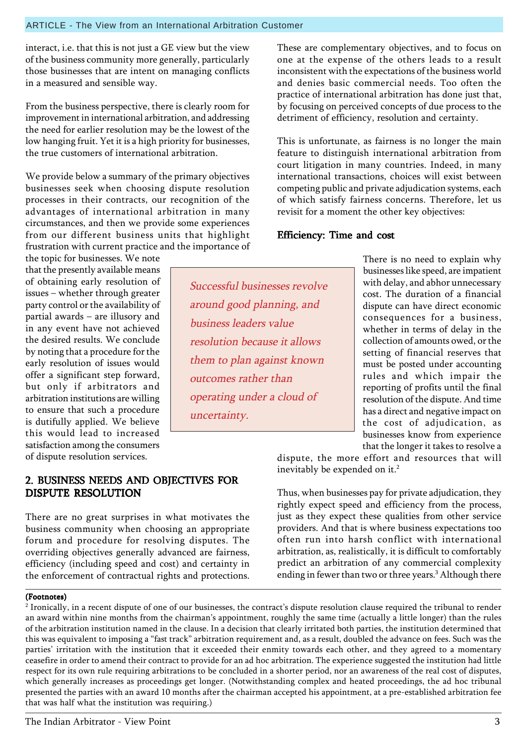interact, i.e. that this is not just a GE view but the view of the business community more generally, particularly those businesses that are intent on managing conflicts in a measured and sensible way.

From the business perspective, there is clearly room for improvement in international arbitration, and addressing the need for earlier resolution may be the lowest of the low hanging fruit. Yet it is a high priority for businesses, the true customers of international arbitration.

We provide below a summary of the primary objectives businesses seek when choosing dispute resolution processes in their contracts, our recognition of the advantages of international arbitration in many circumstances, and then we provide some experiences from our different business units that highlight frustration with current practice and the importance of

the topic for businesses. We note that the presently available means of obtaining early resolution of issues - whether through greater party control or the availability of partial awards  $-$  are illusory and in any event have not achieved the desired results. We conclude by noting that a procedure for the early resolution of issues would offer a significant step forward, but only if arbitrators and arbitration institutions are willing to ensure that such a procedure is dutifully applied. We believe this would lead to increased satisfaction among the consumers of dispute resolution services.

# 2. BUSINESS NEEDS AND OBJECTIVES FOR DISPUTE RESOLUTION

There are no great surprises in what motivates the business community when choosing an appropriate forum and procedure for resolving disputes. The overriding objectives generally advanced are fairness, efficiency (including speed and cost) and certainty in the enforcement of contractual rights and protections.

### (Footnotes)

 $^{\rm 2}$  Ironically, in a recent dispute of one of our businesses, the contract's dispute resolution clause required the tribunal to render an award within nine months from the chairman's appointment, roughly the same time (actually a little longer) than the rules of the arbitration institution named in the clause. In a decision that clearly irritated both parties, the institution determined that this was equivalent to imposing a "fast track" arbitration requirement and, as a result, doubled the advance on fees. Such was the parties' irritation with the institution that it exceeded their enmity towards each other, and they agreed to a momentary ceasefire in order to amend their contract to provide for an ad hoc arbitration. The experience suggested the institution had little respect for its own rule requiring arbitrations to be concluded in a shorter period, nor an awareness of the real cost of disputes, which generally increases as proceedings get longer. (Notwithstanding complex and heated proceedings, the ad hoc tribunal presented the parties with an award 10 months after the chairman accepted his appointment, at a pre-established arbitration fee that was half what the institution was requiring.)

Successful businesses revolve around good planning, and business leaders value resolution because it allows them to plan against known outcomes rather than operating under a cloud of uncertainty.

These are complementary objectives, and to focus on one at the expense of the others leads to a result inconsistent with the expectations of the business world and denies basic commercial needs. Too often the practice of international arbitration has done just that, by focusing on perceived concepts of due process to the detriment of efficiency, resolution and certainty.

This is unfortunate, as fairness is no longer the main feature to distinguish international arbitration from court litigation in many countries. Indeed, in many international transactions, choices will exist between competing public and private adjudication systems, each of which satisfy fairness concerns. Therefore, let us revisit for a moment the other key objectives:

# Efficiency: Time and cost

There is no need to explain why businesses like speed, are impatient with delay, and abhor unnecessary cost. The duration of a financial dispute can have direct economic consequences for a business, whether in terms of delay in the collection of amounts owed, or the setting of financial reserves that must be posted under accounting rules and which impair the reporting of profits until the final resolution of the dispute. And time has a direct and negative impact on the cost of adjudication, as businesses know from experience that the longer it takes to resolve a

dispute, the more effort and resources that will inevitably be expended on it.<sup>2</sup>

Thus, when businesses pay for private adjudication, they rightly expect speed and efficiency from the process, just as they expect these qualities from other service providers. And that is where business expectations too often run into harsh conflict with international arbitration, as, realistically, it is difficult to comfortably predict an arbitration of any commercial complexity ending in fewer than two or three years.<sup>3</sup> Although there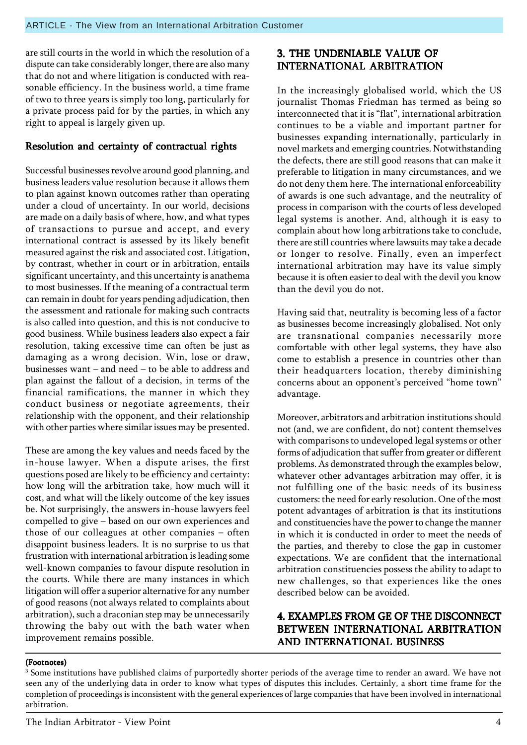are still courts in the world in which the resolution of a dispute can take considerably longer, there are also many that do not and where litigation is conducted with reasonable efficiency. In the business world, a time frame of two to three years is simply too long, particularly for a private process paid for by the parties, in which any right to appeal is largely given up.

### Resolution and certainty of contractual rights

Successful businesses revolve around good planning, and business leaders value resolution because it allows them to plan against known outcomes rather than operating under a cloud of uncertainty. In our world, decisions are made on a daily basis of where, how, and what types of transactions to pursue and accept, and every international contract is assessed by its likely benefit measured against the risk and associated cost. Litigation, by contrast, whether in court or in arbitration, entails significant uncertainty, and this uncertainty is anathema to most businesses. If the meaning of a contractual term can remain in doubt for years pending adjudication, then the assessment and rationale for making such contracts is also called into question, and this is not conducive to good business. While business leaders also expect a fair resolution, taking excessive time can often be just as damaging as a wrong decision. Win, lose or draw, businesses want  $-$  and need  $-$  to be able to address and plan against the fallout of a decision, in terms of the financial ramifications, the manner in which they conduct business or negotiate agreements, their relationship with the opponent, and their relationship with other parties where similar issues may be presented.

These are among the key values and needs faced by the in-house lawyer. When a dispute arises, the first questions posed are likely to be efficiency and certainty: how long will the arbitration take, how much will it cost, and what will the likely outcome of the key issues be. Not surprisingly, the answers in-house lawyers feel compelled to give  $-$  based on our own experiences and those of our colleagues at other companies  $-$  often disappoint business leaders. It is no surprise to us that frustration with international arbitration is leading some well-known companies to favour dispute resolution in the courts. While there are many instances in which litigation will offer a superior alternative for any number of good reasons (not always related to complaints about arbitration), such a draconian step may be unnecessarily throwing the baby out with the bath water when improvement remains possible.

### 3. THE UNDENIABLE VALUE OF INTERNATIONAL ARBITRATION

In the increasingly globalised world, which the US journalist Thomas Friedman has termed as being so interconnected that it is "flat", international arbitration continues to be a viable and important partner for businesses expanding internationally, particularly in novel markets and emerging countries. Notwithstanding the defects, there are still good reasons that can make it preferable to litigation in many circumstances, and we do not deny them here. The international enforceability of awards is one such advantage, and the neutrality of process in comparison with the courts of less developed legal systems is another. And, although it is easy to complain about how long arbitrations take to conclude, there are still countries where lawsuits may take a decade or longer to resolve. Finally, even an imperfect international arbitration may have its value simply because it is often easier to deal with the devil you know than the devil you do not.

Having said that, neutrality is becoming less of a factor as businesses become increasingly globalised. Not only are transnational companies necessarily more comfortable with other legal systems, they have also come to establish a presence in countries other than their headquarters location, thereby diminishing concerns about an opponent's perceived "home town" advantage.

Moreover, arbitrators and arbitration institutions should not (and, we are confident, do not) content themselves with comparisons to undeveloped legal systems or other forms of adjudication that suffer from greater or different problems. As demonstrated through the examples below, whatever other advantages arbitration may offer, it is not fulfilling one of the basic needs of its business customers: the need for early resolution. One of the most potent advantages of arbitration is that its institutions and constituencies have the power to change the manner in which it is conducted in order to meet the needs of the parties, and thereby to close the gap in customer expectations. We are confident that the international arbitration constituencies possess the ability to adapt to new challenges, so that experiences like the ones described below can be avoided.

### 4. EXAMPLES FROM GE OF THE DISCONNECT BETWEEN INTERNATIONAL ARBITRATION AND INTERNATIONAL BUSINESS

#### (Footnotes)

 $\rm ^3$  Some institutions have published claims of purportedly shorter periods of the average time to render an award. We have not seen any of the underlying data in order to know what types of disputes this includes. Certainly, a short time frame for the completion of proceedings is inconsistent with the general experiences of large companies that have been involved in international arbitration.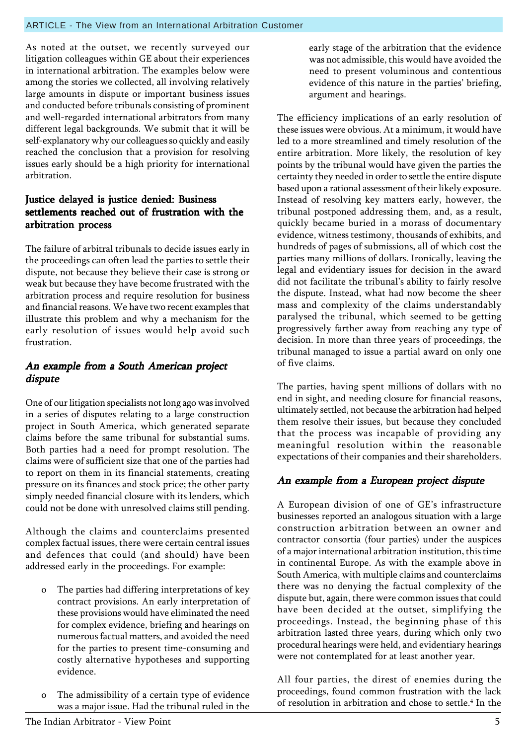As noted at the outset, we recently surveyed our litigation colleagues within GE about their experiences in international arbitration. The examples below were among the stories we collected, all involving relatively large amounts in dispute or important business issues and conducted before tribunals consisting of prominent and well-regarded international arbitrators from many different legal backgrounds. We submit that it will be self-explanatory why our colleagues so quickly and easily reached the conclusion that a provision for resolving issues early should be a high priority for international arbitration.

### Justice delayed is justice denied: Business settlements reached out of frustration with the arbitration process

The failure of arbitral tribunals to decide issues early in the proceedings can often lead the parties to settle their dispute, not because they believe their case is strong or weak but because they have become frustrated with the arbitration process and require resolution for business and financial reasons. We have two recent examples that illustrate this problem and why a mechanism for the early resolution of issues would help avoid such frustration.

### An example from a South American project dispute

One of our litigation specialists not long ago was involved in a series of disputes relating to a large construction project in South America, which generated separate claims before the same tribunal for substantial sums. Both parties had a need for prompt resolution. The claims were of sufficient size that one of the parties had to report on them in its financial statements, creating pressure on its finances and stock price; the other party simply needed financial closure with its lenders, which could not be done with unresolved claims still pending.

Although the claims and counterclaims presented complex factual issues, there were certain central issues and defences that could (and should) have been addressed early in the proceedings. For example:

- The parties had differing interpretations of key contract provisions. An early interpretation of these provisions would have eliminated the need for complex evidence, briefing and hearings on numerous factual matters, and avoided the need for the parties to present time-consuming and costly alternative hypotheses and supporting evidence.
- The admissibility of a certain type of evidence was a major issue. Had the tribunal ruled in the

early stage of the arbitration that the evidence was not admissible, this would have avoided the need to present voluminous and contentious evidence of this nature in the parties' briefing, argument and hearings.

The efficiency implications of an early resolution of these issues were obvious. At a minimum, it would have led to a more streamlined and timely resolution of the entire arbitration. More likely, the resolution of key points by the tribunal would have given the parties the certainty they needed in order to settle the entire dispute based upon a rational assessment of their likely exposure. Instead of resolving key matters early, however, the tribunal postponed addressing them, and, as a result, quickly became buried in a morass of documentary evidence, witness testimony, thousands of exhibits, and hundreds of pages of submissions, all of which cost the parties many millions of dollars. Ironically, leaving the legal and evidentiary issues for decision in the award did not facilitate the tribunal's ability to fairly resolve the dispute. Instead, what had now become the sheer mass and complexity of the claims understandably paralysed the tribunal, which seemed to be getting progressively farther away from reaching any type of decision. In more than three years of proceedings, the tribunal managed to issue a partial award on only one of five claims.

The parties, having spent millions of dollars with no end in sight, and needing closure for financial reasons, ultimately settled, not because the arbitration had helped them resolve their issues, but because they concluded that the process was incapable of providing any meaningful resolution within the reasonable expectations of their companies and their shareholders.

### An example from a European project dispute

A European division of one of GE's infrastructure businesses reported an analogous situation with a large construction arbitration between an owner and contractor consortia (four parties) under the auspices of a major international arbitration institution, this time in continental Europe. As with the example above in South America, with multiple claims and counterclaims there was no denying the factual complexity of the dispute but, again, there were common issues that could have been decided at the outset, simplifying the proceedings. Instead, the beginning phase of this arbitration lasted three years, during which only two procedural hearings were held, and evidentiary hearings were not contemplated for at least another year.

All four parties, the direst of enemies during the proceedings, found common frustration with the lack of resolution in arbitration and chose to settle.<sup>4</sup> In the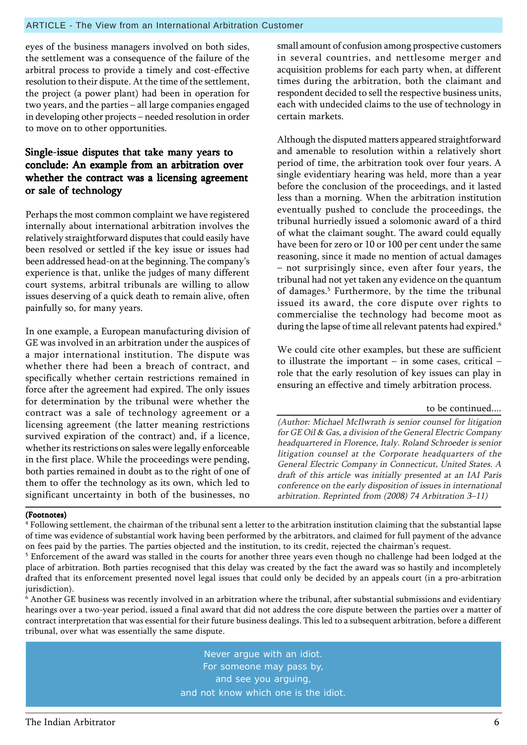#### ARTICLE - The View from an International Arbitration Customer

eyes of the business managers involved on both sides, the settlement was a consequence of the failure of the arbitral process to provide a timely and cost-effective resolution to their dispute. At the time of the settlement, the project (a power plant) had been in operation for two years, and the parties  $-$  all large companies engaged in developing other projects – needed resolution in order to move on to other opportunities.

### Single-issue disputes that take many years to conclude: An example from an arbitration over whether the contract was a licensing agreement or sale of technology

Perhaps the most common complaint we have registered internally about international arbitration involves the relatively straightforward disputes that could easily have been resolved or settled if the key issue or issues had been addressed head-on at the beginning. The company's experience is that, unlike the judges of many different court systems, arbitral tribunals are willing to allow issues deserving of a quick death to remain alive, often painfully so, for many years.

In one example, a European manufacturing division of GE was involved in an arbitration under the auspices of a major international institution. The dispute was whether there had been a breach of contract, and specifically whether certain restrictions remained in force after the agreement had expired. The only issues for determination by the tribunal were whether the contract was a sale of technology agreement or a licensing agreement (the latter meaning restrictions survived expiration of the contract) and, if a licence, whether its restrictions on sales were legally enforceable in the first place. While the proceedings were pending, both parties remained in doubt as to the right of one of them to offer the technology as its own, which led to significant uncertainty in both of the businesses, no

small amount of confusion among prospective customers in several countries, and nettlesome merger and acquisition problems for each party when, at different times during the arbitration, both the claimant and respondent decided to sell the respective business units, each with undecided claims to the use of technology in certain markets.

Although the disputed matters appeared straightforward and amenable to resolution within a relatively short period of time, the arbitration took over four years. A single evidentiary hearing was held, more than a year before the conclusion of the proceedings, and it lasted less than a morning. When the arbitration institution eventually pushed to conclude the proceedings, the tribunal hurriedly issued a solomonic award of a third of what the claimant sought. The award could equally have been for zero or 10 or 100 per cent under the same reasoning, since it made no mention of actual damages - not surprisingly since, even after four years, the tribunal had not yet taken any evidence on the quantum of damages.<sup>5</sup> Furthermore, by the time the tribunal issued its award, the core dispute over rights to commercialise the technology had become moot as during the lapse of time all relevant patents had expired.<sup>6</sup>

We could cite other examples, but these are sufficient to illustrate the important  $-$  in some cases, critical  $$ role that the early resolution of key issues can play in ensuring an effective and timely arbitration process.

#### to be continued....

(Author: Michael McIlwrath is senior counsel for litigation for GE Oil & Gas, a division of the General Electric Company headquartered in Florence, Italy. Roland Schroeder is senior litigation counsel at the Corporate headquarters of the General Electric Company in Connecticut, United States. A draft of this article was initially presented at an IAI Paris conference on the early disposition of issues in international arbitration. Reprinted from  $(2008)$  74 Arbitration 3-11)

#### (Footnotes)

4 Following settlement, the chairman of the tribunal sent a letter to the arbitration institution claiming that the substantial lapse of time was evidence of substantial work having been performed by the arbitrators, and claimed for full payment of the advance on fees paid by the parties. The parties objected and the institution, to its credit, rejected the chairman's request.

 $^5$  Enforcement of the award was stalled in the courts for another three years even though no challenge had been lodged at the place of arbitration. Both parties recognised that this delay was created by the fact the award was so hastily and incompletely drafted that its enforcement presented novel legal issues that could only be decided by an appeals court (in a pro-arbitration jurisdiction).

 $^{\rm 6}$  Another GE business was recently involved in an arbitration where the tribunal, after substantial submissions and evidentiary hearings over a two-year period, issued a final award that did not address the core dispute between the parties over a matter of contract interpretation that was essential for their future business dealings. This led to a subsequent arbitration, before a different tribunal, over what was essentially the same dispute.

> Never argue with an idiot. For someone may pass by, and see you arguing, and not know which one is the idiot.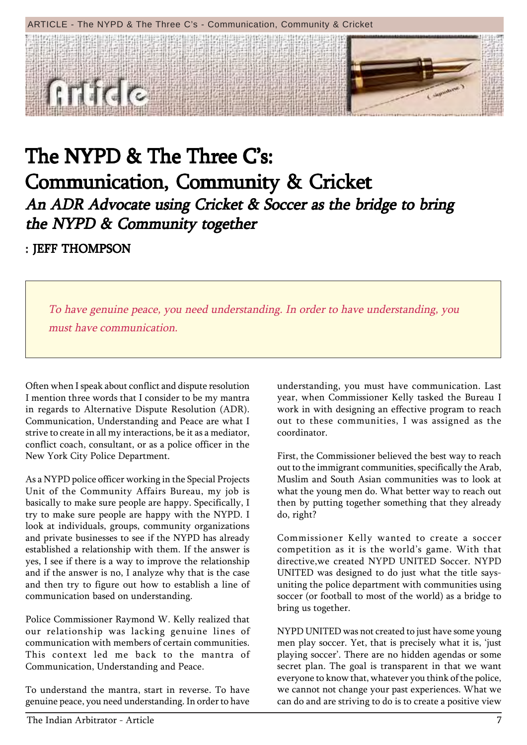### ARTICLE - The NYPD & The Three C's - Communication, Community & Cricket



# The NYPD & The Three C's: Communication, Community & Cricket An ADR Advocate using Cricket & Soccer as the bridge to bring the NYPD  $&$  Community together

# : JEFF THOMPSON

To have genuine peace, you need understanding. In order to have understanding, you must have communication.

Often when I speak about conflict and dispute resolution I mention three words that I consider to be my mantra in regards to Alternative Dispute Resolution (ADR). Communication, Understanding and Peace are what I strive to create in all my interactions, be it as a mediator, conflict coach, consultant, or as a police officer in the New York City Police Department.

As a NYPD police officer working in the Special Projects Unit of the Community Affairs Bureau, my job is basically to make sure people are happy. Specifically, I try to make sure people are happy with the NYPD. I look at individuals, groups, community organizations and private businesses to see if the NYPD has already established a relationship with them. If the answer is yes, I see if there is a way to improve the relationship and if the answer is no, I analyze why that is the case and then try to figure out how to establish a line of communication based on understanding.

Police Commissioner Raymond W. Kelly realized that our relationship was lacking genuine lines of communication with members of certain communities. This context led me back to the mantra of Communication, Understanding and Peace.

To understand the mantra, start in reverse. To have genuine peace, you need understanding. In order to have understanding, you must have communication. Last year, when Commissioner Kelly tasked the Bureau I work in with designing an effective program to reach out to these communities, I was assigned as the coordinator.

First, the Commissioner believed the best way to reach out to the immigrant communities, specifically the Arab, Muslim and South Asian communities was to look at what the young men do. What better way to reach out then by putting together something that they already do, right?

Commissioner Kelly wanted to create a soccer competition as it is the world's game. With that directive,we created NYPD UNITED Soccer. NYPD UNITED was designed to do just what the title saysuniting the police department with communities using soccer (or football to most of the world) as a bridge to bring us together.

NYPD UNITED was not created to just have some young men play soccer. Yet, that is precisely what it is, 'just playing soccer'. There are no hidden agendas or some secret plan. The goal is transparent in that we want everyone to know that, whatever you think of the police, we cannot not change your past experiences. What we can do and are striving to do is to create a positive view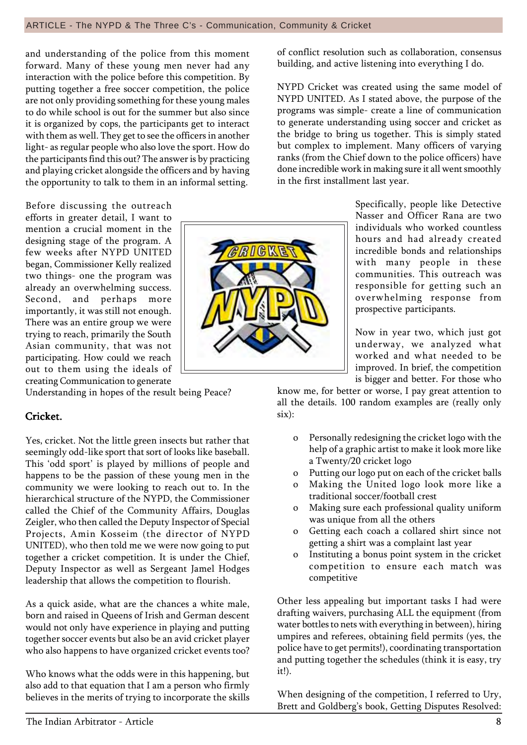and understanding of the police from this moment forward. Many of these young men never had any interaction with the police before this competition. By putting together a free soccer competition, the police are not only providing something for these young males to do while school is out for the summer but also since it is organized by cops, the participants get to interact with them as well. They get to see the officers in another light- as regular people who also love the sport. How do the participants find this out? The answer is by practicing and playing cricket alongside the officers and by having the opportunity to talk to them in an informal setting.

Before discussing the outreach efforts in greater detail, I want to mention a crucial moment in the designing stage of the program. A few weeks after NYPD UNITED began, Commissioner Kelly realized two things- one the program was already an overwhelming success. Second, and perhaps more importantly, it was still not enough. There was an entire group we were trying to reach, primarily the South Asian community, that was not participating. How could we reach out to them using the ideals of creating Communication to generate

Understanding in hopes of the result being Peace?

### Cricket.

Yes, cricket. Not the little green insects but rather that seemingly odd-like sport that sort of looks like baseball. This 'odd sport' is played by millions of people and happens to be the passion of these young men in the community we were looking to reach out to. In the hierarchical structure of the NYPD, the Commissioner called the Chief of the Community Affairs, Douglas Zeigler, who then called the Deputy Inspector of Special Projects, Amin Kosseim (the director of NYPD UNITED), who then told me we were now going to put together a cricket competition. It is under the Chief, Deputy Inspector as well as Sergeant Jamel Hodges leadership that allows the competition to flourish.

As a quick aside, what are the chances a white male, born and raised in Queens of Irish and German descent would not only have experience in playing and putting together soccer events but also be an avid cricket player who also happens to have organized cricket events too?

Who knows what the odds were in this happening, but also add to that equation that I am a person who firmly believes in the merits of trying to incorporate the skills of conflict resolution such as collaboration, consensus building, and active listening into everything I do.

NYPD Cricket was created using the same model of NYPD UNITED. As I stated above, the purpose of the programs was simple- create a line of communication to generate understanding using soccer and cricket as the bridge to bring us together. This is simply stated but complex to implement. Many officers of varying ranks (from the Chief down to the police officers) have done incredible work in making sure it all went smoothly in the first installment last year.

> Specifically, people like Detective Nasser and Officer Rana are two individuals who worked countless hours and had already created incredible bonds and relationships with many people in these communities. This outreach was responsible for getting such an overwhelming response from prospective participants.

> Now in year two, which just got underway, we analyzed what worked and what needed to be improved. In brief, the competition is bigger and better. For those who

know me, for better or worse, I pay great attention to all the details. 100 random examples are (really only six):

- o Personally redesigning the cricket logo with the help of a graphic artist to make it look more like a Twenty/20 cricket logo
- o Putting our logo put on each of the cricket balls
- o Making the United logo look more like a traditional soccer/football crest
- o Making sure each professional quality uniform was unique from all the others
- o Getting each coach a collared shirt since not getting a shirt was a complaint last year
- o Instituting a bonus point system in the cricket competition to ensure each match was competitive

Other less appealing but important tasks I had were drafting waivers, purchasing ALL the equipment (from water bottles to nets with everything in between), hiring umpires and referees, obtaining field permits (yes, the police have to get permits!), coordinating transportation and putting together the schedules (think it is easy, try it!).

When designing of the competition, I referred to Ury, Brett and Goldberg's book, Getting Disputes Resolved:

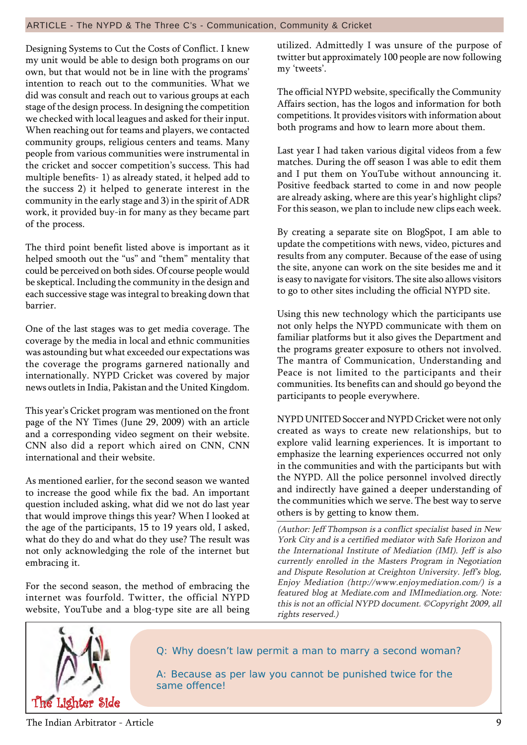#### ARTICLE - The NYPD & The Three C's - Communication, Community & Cricket

Designing Systems to Cut the Costs of Conflict. I knew my unit would be able to design both programs on our own, but that would not be in line with the programs' intention to reach out to the communities. What we did was consult and reach out to various groups at each stage of the design process. In designing the competition we checked with local leagues and asked for their input. When reaching out for teams and players, we contacted community groups, religious centers and teams. Many people from various communities were instrumental in the cricket and soccer competition's success. This had multiple benefits- 1) as already stated, it helped add to the success 2) it helped to generate interest in the community in the early stage and 3) in the spirit of ADR work, it provided buy-in for many as they became part of the process.

The third point benefit listed above is important as it helped smooth out the "us" and "them" mentality that could be perceived on both sides. Of course people would be skeptical. Including the community in the design and each successive stage was integral to breaking down that barrier.

One of the last stages was to get media coverage. The coverage by the media in local and ethnic communities was astounding but what exceeded our expectations was the coverage the programs garnered nationally and internationally. NYPD Cricket was covered by major news outlets in India, Pakistan and the United Kingdom.

This year's Cricket program was mentioned on the front page of the NY Times (June 29, 2009) with an article and a corresponding video segment on their website. CNN also did a report which aired on CNN, CNN international and their website.

As mentioned earlier, for the second season we wanted to increase the good while fix the bad. An important question included asking, what did we not do last year that would improve things this year? When I looked at the age of the participants, 15 to 19 years old, I asked, what do they do and what do they use? The result was not only acknowledging the role of the internet but embracing it.

For the second season, the method of embracing the internet was fourfold. Twitter, the official NYPD website, YouTube and a blog-type site are all being utilized. Admittedly I was unsure of the purpose of twitter but approximately 100 people are now following my 'tweets'.

The official NYPD website, specifically the Community Affairs section, has the logos and information for both competitions. It provides visitors with information about both programs and how to learn more about them.

Last year I had taken various digital videos from a few matches. During the off season I was able to edit them and I put them on YouTube without announcing it. Positive feedback started to come in and now people are already asking, where are this year's highlight clips? For this season, we plan to include new clips each week.

By creating a separate site on BlogSpot, I am able to update the competitions with news, video, pictures and results from any computer. Because of the ease of using the site, anyone can work on the site besides me and it is easy to navigate for visitors. The site also allows visitors to go to other sites including the official NYPD site.

Using this new technology which the participants use not only helps the NYPD communicate with them on familiar platforms but it also gives the Department and the programs greater exposure to others not involved. The mantra of Communication, Understanding and Peace is not limited to the participants and their communities. Its benefits can and should go beyond the participants to people everywhere.

NYPD UNITED Soccer and NYPD Cricket were not only created as ways to create new relationships, but to explore valid learning experiences. It is important to emphasize the learning experiences occurred not only in the communities and with the participants but with the NYPD. All the police personnel involved directly and indirectly have gained a deeper understanding of the communities which we serve. The best way to serve others is by getting to know them.

(Author: Jeff Thompson is a conflict specialist based in New York City and is a certified mediator with Safe Horizon and the International Institute of Mediation (IMI). Jeff is also currently enrolled in the Masters Program in Negotiation and Dispute Resolution at Creighton University. Jeff's blog, Enjoy Mediation (http://www.enjoymediation.com/) is a featured blog at Mediate.com and IMImediation.org. Note: this is not an official NYPD document. ©Copyright 2009, all rights reserved.)



Q: Why doesn't law permit a man to marry a second woman?

A: Because as per law you cannot be punished twice for the same offence!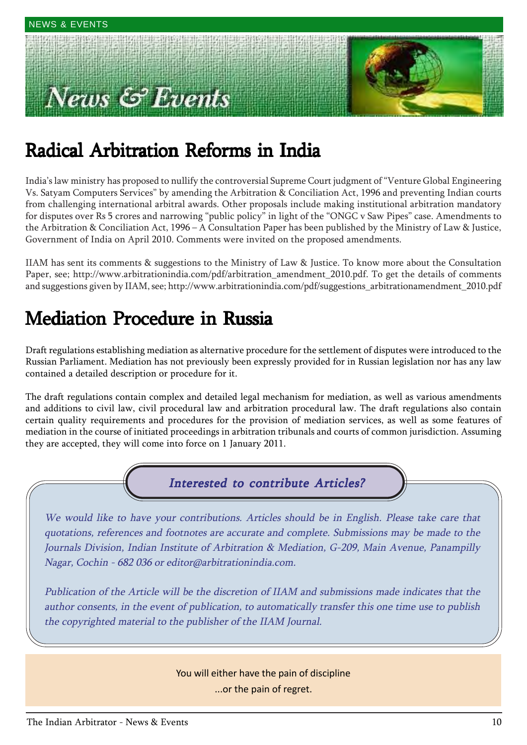# Tews  $\mathcal{C}$  Events



# Radical Arbitration Reforms in India

India's law ministry has proposed to nullify the controversial Supreme Court judgment of "Venture Global Engineering Vs. Satyam Computers Services" by amending the Arbitration & Conciliation Act, 1996 and preventing Indian courts from challenging international arbitral awards. Other proposals include making institutional arbitration mandatory for disputes over Rs 5 crores and narrowing "public policy" in light of the "ONGC v Saw Pipes" case. Amendments to the Arbitration & Conciliation Act,  $1996 - A$  Consultation Paper has been published by the Ministry of Law & Justice, Government of India on April 2010. Comments were invited on the proposed amendments.

IIAM has sent its comments & suggestions to the Ministry of Law & Justice. To know more about the Consultation Paper, see; http://www.arbitrationindia.com/pdf/arbitration\_amendment\_2010.pdf. To get the details of comments and suggestions given by IIAM, see; http://www.arbitrationindia.com/pdf/suggestions\_arbitrationamendment\_2010.pdf

# Mediation Procedure in Russia

Draft regulations establishing mediation as alternative procedure for the settlement of disputes were introduced to the Russian Parliament. Mediation has not previously been expressly provided for in Russian legislation nor has any law contained a detailed description or procedure for it.

The draft regulations contain complex and detailed legal mechanism for mediation, as well as various amendments and additions to civil law, civil procedural law and arbitration procedural law. The draft regulations also contain certain quality requirements and procedures for the provision of mediation services, as well as some features of mediation in the course of initiated proceedings in arbitration tribunals and courts of common jurisdiction. Assuming they are accepted, they will come into force on 1 January 2011.

# Interested to contribute Articles?

We would like to have your contributions. Articles should be in English. Please take care that quotations, references and footnotes are accurate and complete. Submissions may be made to the Journals Division, Indian Institute of Arbitration & Mediation, G-209, Main Avenue, Panampilly Nagar, Cochin - 682 036 or editor@arbitrationindia.com.

Publication of the Article will be the discretion of IIAM and submissions made indicates that the author consents, in the event of publication, to automatically transfer this one time use to publish the copyrighted material to the publisher of the IIAM Journal.

> You will either have the pain of discipline ...or the pain of regret.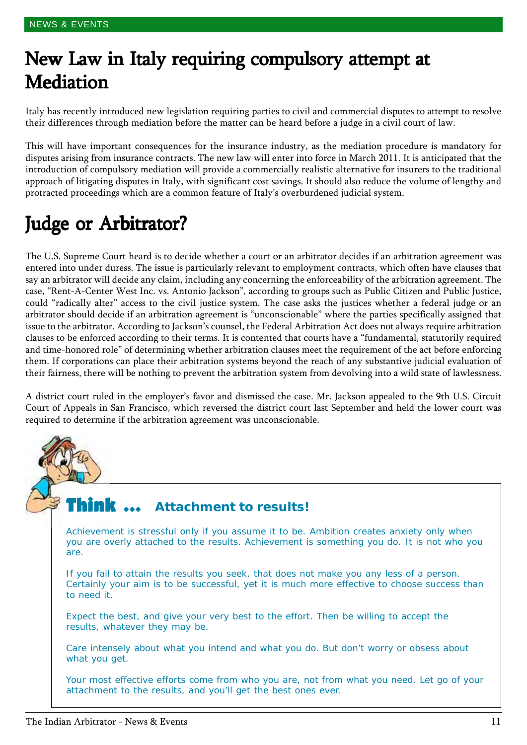# New Law in Italy requiring compulsory attempt at **Mediation**

Italy has recently introduced new legislation requiring parties to civil and commercial disputes to attempt to resolve their differences through mediation before the matter can be heard before a judge in a civil court of law.

This will have important consequences for the insurance industry, as the mediation procedure is mandatory for disputes arising from insurance contracts. The new law will enter into force in March 2011. It is anticipated that the introduction of compulsory mediation will provide a commercially realistic alternative for insurers to the traditional approach of litigating disputes in Italy, with significant cost savings. It should also reduce the volume of lengthy and protracted proceedings which are a common feature of Italyís overburdened judicial system.

# Judge or Arbitrator?

The U.S. Supreme Court heard is to decide whether a court or an arbitrator decides if an arbitration agreement was entered into under duress. The issue is particularly relevant to employment contracts, which often have clauses that say an arbitrator will decide any claim, including any concerning the enforceability of the arbitration agreement. The case, "Rent-A-Center West Inc. vs. Antonio Jackson", according to groups such as Public Citizen and Public Justice, could "radically alter" access to the civil justice system. The case asks the justices whether a federal judge or an arbitrator should decide if an arbitration agreement is "unconscionable" where the parties specifically assigned that issue to the arbitrator. According to Jackson's counsel, the Federal Arbitration Act does not always require arbitration clauses to be enforced according to their terms. It is contented that courts have a "fundamental, statutorily required and time-honored roleî of determining whether arbitration clauses meet the requirement of the act before enforcing them. If corporations can place their arbitration systems beyond the reach of any substantive judicial evaluation of their fairness, there will be nothing to prevent the arbitration system from devolving into a wild state of lawlessness.

A district court ruled in the employerís favor and dismissed the case. Mr. Jackson appealed to the 9th U.S. Circuit Court of Appeals in San Francisco, which reversed the district court last September and held the lower court was required to determine if the arbitration agreement was unconscionable.

#### Think  $\,\cdots\,$ **Attachment to results!**

Achievement is stressful only if you assume it to be. Ambition creates anxiety only when you are overly attached to the results. Achievement is something you do. It is not who you are.

If you fail to attain the results you seek, that does not make you any less of a person. Certainly your aim is to be successful, yet it is much more effective to choose success than to need it.

Expect the best, and give your very best to the effort. Then be willing to accept the results, whatever they may be.

Care intensely about what you intend and what you do. But don't worry or obsess about what you get.

Your most effective efforts come from who you are, not from what you need. Let go of your attachment to the results, and you'll get the best ones ever.